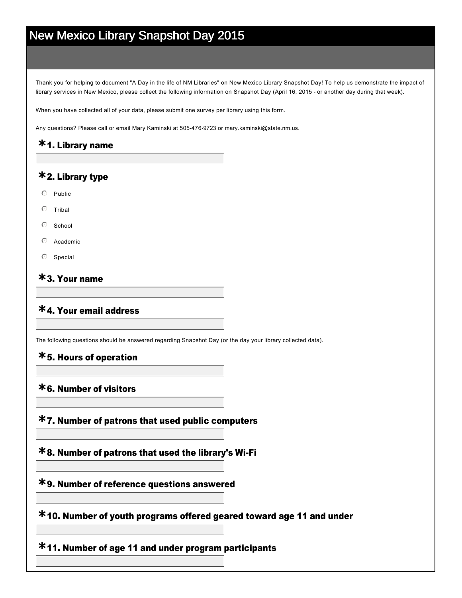# New Mexico Library Snapshot Day 2015

Thank you for helping to document "A Day in the life of NM Libraries" on New Mexico Library Snapshot Day! To help us demonstrate the impact of library services in New Mexico, please collect the following information on Snapshot Day (April 16, 2015 - or another day during that week).

When you have collected all of your data, please submit one survey per library using this form.

Any questions? Please call or email Mary Kaminski at 505-476-9723 or mary.kaminski@state.nm.us.

### 1. Library name **\***

### 2. Library type **\***

- $O$  Public
- $O$  Tribal
- $\circ$  School
- $O$  Academic
- $O$  Special

### 3. Your name **\***

### 4. Your email address **\***

The following questions should be answered regarding Snapshot Day (or the day your library collected data).

### 5. Hours of operation **\***

### 6. Number of visitors **\***

7. Number of patrons that used public computers **\***

8. Number of patrons that used the library's WiFi **\***

9. Number of reference questions answered **\***

10. Number of youth programs offered geared toward age 11 and under **\***

11. Number of age 11 and under program participants **\***